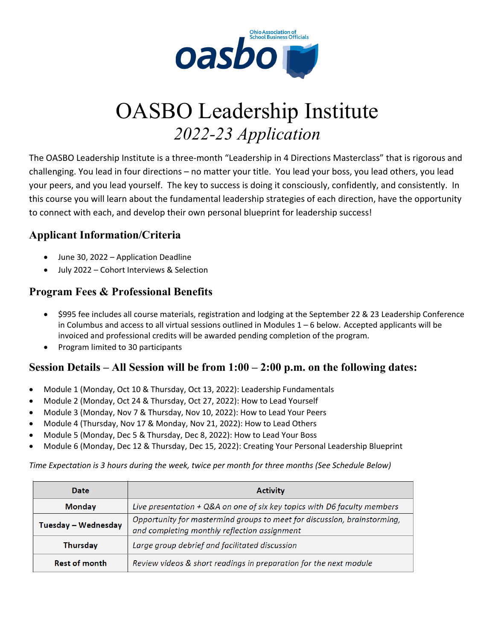

## OASBO Leadership Institute *2022-23 Application*

The OASBO Leadership Institute is a three-month "Leadership in 4 Directions Masterclass" that is rigorous and challenging. You lead in four directions – no matter your title. You lead your boss, you lead others, you lead your peers, and you lead yourself. The key to success is doing it consciously, confidently, and consistently. In this course you will learn about the fundamental leadership strategies of each direction, have the opportunity to connect with each, and develop their own personal blueprint for leadership success!

#### **Applicant Information/Criteria**

- June 30, 2022 Application Deadline
- July 2022 Cohort Interviews & Selection

#### **Program Fees & Professional Benefits**

- \$995 fee includes all course materials, registration and lodging at the September 22 & 23 Leadership Conference in Columbus and access to all virtual sessions outlined in Modules  $1 - 6$  below. Accepted applicants will be invoiced and professional credits will be awarded pending completion of the program.
- Program limited to 30 participants

#### **Session Details – All Session will be from 1:00 – 2:00 p.m. on the following dates:**

- Module 1 (Monday, Oct 10 & Thursday, Oct 13, 2022): Leadership Fundamentals
- Module 2 (Monday, Oct 24 & Thursday, Oct 27, 2022): How to Lead Yourself
- Module 3 (Monday, Nov 7 & Thursday, Nov 10, 2022): How to Lead Your Peers
- Module 4 (Thursday, Nov 17 & Monday, Nov 21, 2022): How to Lead Others
- Module 5 (Monday, Dec 5 & Thursday, Dec 8, 2022): How to Lead Your Boss
- Module 6 (Monday, Dec 12 & Thursday, Dec 15, 2022): Creating Your Personal Leadership Blueprint

*Time Expectation is 3 hours during the week, twice per month for three months (See Schedule Below)*

| <b>Date</b>          | <b>Activity</b>                                                                                                          |
|----------------------|--------------------------------------------------------------------------------------------------------------------------|
| <b>Monday</b>        | Live presentation + Q&A on one of six key topics with D6 faculty members                                                 |
| Tuesday - Wednesday  | Opportunity for mastermind groups to meet for discussion, brainstorming,<br>and completing monthly reflection assignment |
| <b>Thursday</b>      | Large group debrief and facilitated discussion                                                                           |
| <b>Rest of month</b> | Review videos & short readings in preparation for the next module                                                        |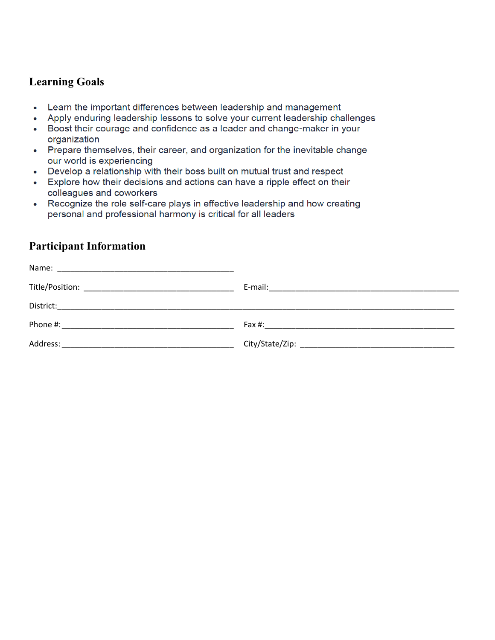#### **Learning Goals**

- Learn the important differences between leadership and management
- Apply enduring leadership lessons to solve your current leadership challenges
- Boost their courage and confidence as a leader and change-maker in your organization
- Prepare themselves, their career, and organization for the inevitable change our world is experiencing
- Develop a relationship with their boss built on mutual trust and respect
- Explore how their decisions and actions can have a ripple effect on their colleagues and coworkers
- Recognize the role self-care plays in effective leadership and how creating personal and professional harmony is critical for all leaders

### **Participant Information**

| Name:<br><u> 1980 - Jan James Santan, masjid a shekara ta 1980 a shekara ta 1980 a shekara ta 1980 a shekara ta 1980 a she</u> |                                                                                                            |
|--------------------------------------------------------------------------------------------------------------------------------|------------------------------------------------------------------------------------------------------------|
|                                                                                                                                | E-mail:<br>the contract of the contract of the contract of the contract of the contract of the contract of |
| District:                                                                                                                      |                                                                                                            |
| Phone #:                                                                                                                       | Fax #:                                                                                                     |
| Address:                                                                                                                       | City/State/Zip:                                                                                            |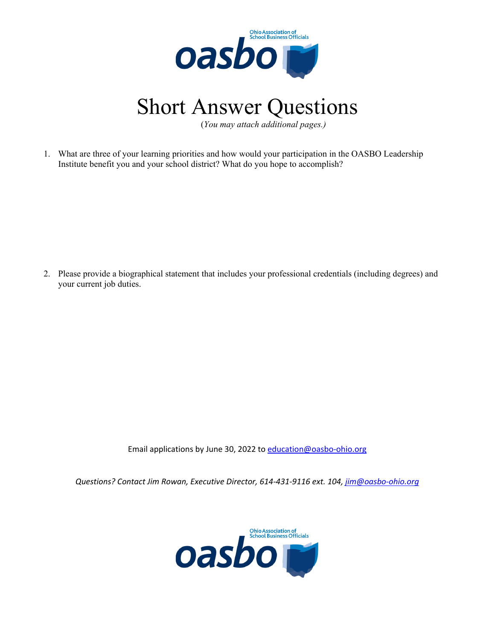

# Short Answer Questions

1. What are three of your learning priorities and how would your participation in the OASBO Leadership Institute benefit you and your school district? What do you hope to accomplish?

2. Please provide a biographical statement that includes your professional credentials (including degrees) and your current job duties.

Email applications by June 30, 2022 to education@oasbo-ohio.org

*Questions? Contact Jim Rowan, Executive Director, 614-431-9116 ext. 104, [jim@oasbo-ohio.org](mailto:jim@oasbo-ohio.org)*